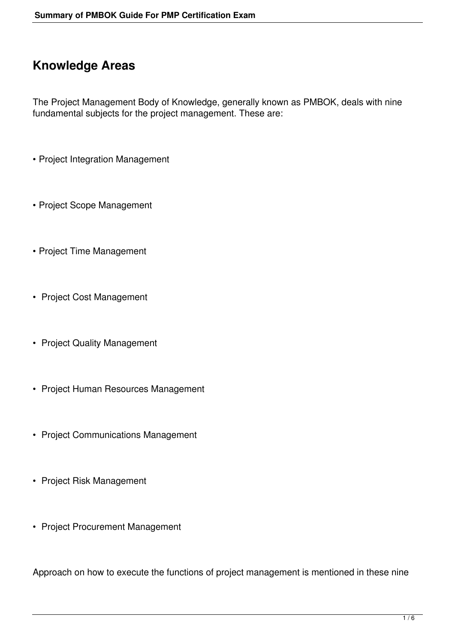### **Knowledge Areas**

The Project Management Body of Knowledge, generally known as PMBOK, deals with nine fundamental subjects for the project management. These are:

- Project Integration Management
- Project Scope Management
- Project Time Management
- Project Cost Management
- Project Quality Management
- Project Human Resources Management
- Project Communications Management
- Project Risk Management
- Project Procurement Management

Approach on how to execute the functions of project management is mentioned in these nine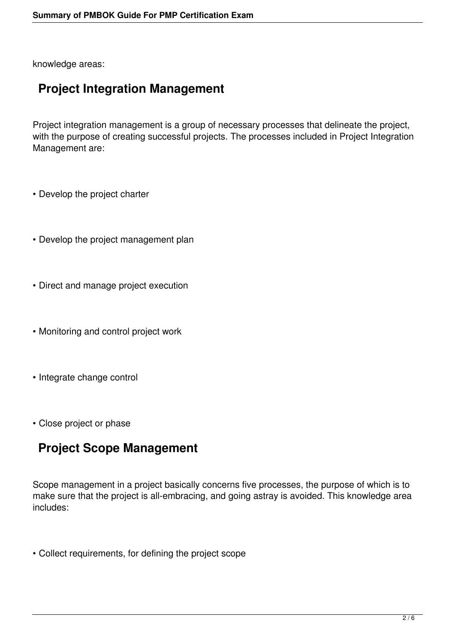knowledge areas:

# **Project Integration Management**

Project integration management is a group of necessary processes that delineate the project, with the purpose of creating successful projects. The processes included in Project Integration Management are:

- Develop the project charter
- Develop the project management plan
- Direct and manage project execution
- Monitoring and control project work
- Integrate change control
- Close project or phase

# **Project Scope Management**

Scope management in a project basically concerns five processes, the purpose of which is to make sure that the project is all-embracing, and going astray is avoided. This knowledge area includes:

• Collect requirements, for defining the project scope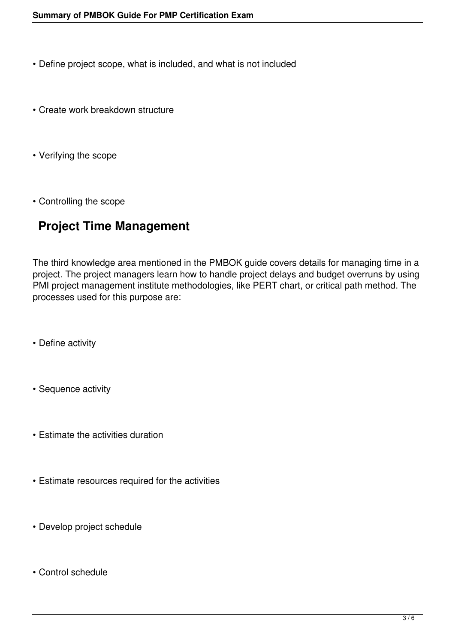- Define project scope, what is included, and what is not included
- Create work breakdown structure
- Verifying the scope
- Controlling the scope

### **Project Time Management**

The third knowledge area mentioned in the PMBOK guide covers details for managing time in a project. The project managers learn how to handle project delays and budget overruns by using PMI project management institute methodologies, like PERT chart, or critical path method. The processes used for this purpose are:

- Define activity
- Sequence activity
- Estimate the activities duration
- Estimate resources required for the activities
- Develop project schedule
- Control schedule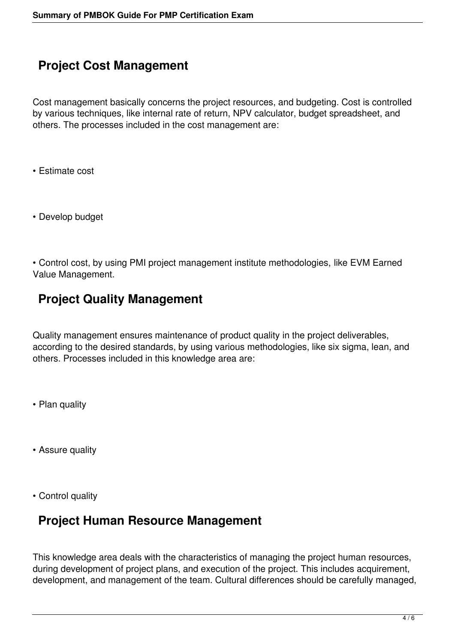# **Project Cost Management**

Cost management basically concerns the project resources, and budgeting. Cost is controlled by various techniques, like internal rate of return, NPV calculator, budget spreadsheet, and others. The processes included in the cost management are:

- Estimate cost
- Develop budget

• Control cost, by using PMI project management institute methodologies, like EVM Earned Value Management.

### **Project Quality Management**

Quality management ensures maintenance of product quality in the project deliverables, according to the desired standards, by using various methodologies, like six sigma, lean, and others. Processes included in this knowledge area are:

- Plan quality
- Assure quality
- Control quality

#### **Project Human Resource Management**

This knowledge area deals with the characteristics of managing the project human resources, during development of project plans, and execution of the project. This includes acquirement, development, and management of the team. Cultural differences should be carefully managed,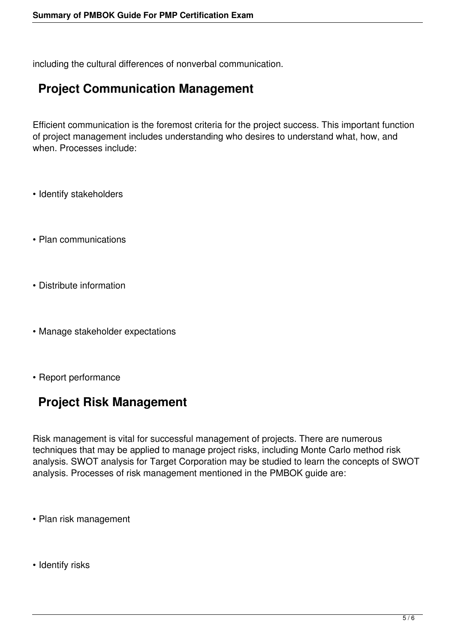including the cultural differences of nonverbal communication.

### **Project Communication Management**

Efficient communication is the foremost criteria for the project success. This important function of project management includes understanding who desires to understand what, how, and when. Processes include:

- Identify stakeholders
- Plan communications
- Distribute information
- Manage stakeholder expectations
- Report performance

# **Project Risk Management**

Risk management is vital for successful management of projects. There are numerous techniques that may be applied to manage project risks, including Monte Carlo method risk analysis. SWOT analysis for Target Corporation may be studied to learn the concepts of SWOT analysis. Processes of risk management mentioned in the PMBOK guide are:

- Plan risk management
- Identify risks